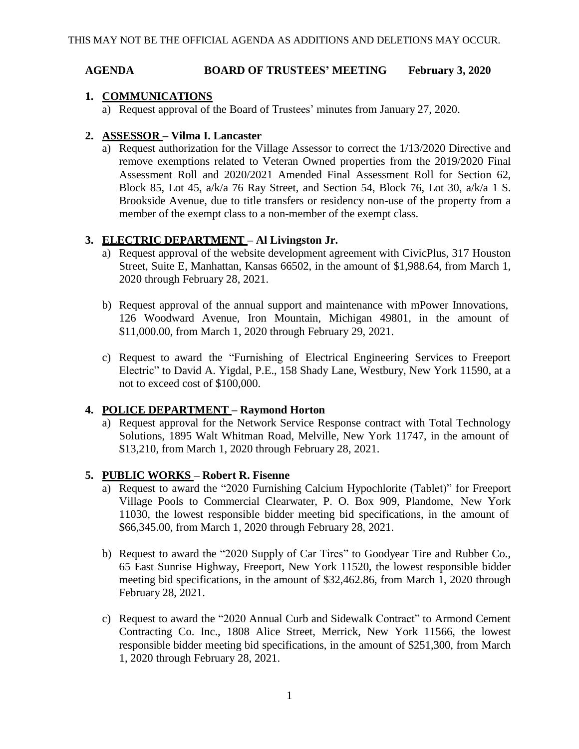#### **AGENDA BOARD OF TRUSTEES' MEETING February 3, 2020**

# **1. COMMUNICATIONS**

a) Request approval of the Board of Trustees' minutes from January 27, 2020.

# **2. ASSESSOR – Vilma I. Lancaster**

a) Request authorization for the Village Assessor to correct the 1/13/2020 Directive and remove exemptions related to Veteran Owned properties from the 2019/2020 Final Assessment Roll and 2020/2021 Amended Final Assessment Roll for Section 62, Block 85, Lot 45, a/k/a 76 Ray Street, and Section 54, Block 76, Lot 30, a/k/a 1 S. Brookside Avenue, due to title transfers or residency non-use of the property from a member of the exempt class to a non-member of the exempt class.

## **3. ELECTRIC DEPARTMENT – Al Livingston Jr.**

- a) Request approval of the website development agreement with CivicPlus, 317 Houston Street, Suite E, Manhattan, Kansas 66502, in the amount of \$1,988.64, from March 1, 2020 through February 28, 2021.
- b) Request approval of the annual support and maintenance with mPower Innovations, 126 Woodward Avenue, Iron Mountain, Michigan 49801, in the amount of \$11,000.00, from March 1, 2020 through February 29, 2021.
- c) Request to award the "Furnishing of Electrical Engineering Services to Freeport Electric" to David A. Yigdal, P.E., 158 Shady Lane, Westbury, New York 11590, at a not to exceed cost of \$100,000.

## **4. POLICE DEPARTMENT – Raymond Horton**

a) Request approval for the Network Service Response contract with Total Technology Solutions, 1895 Walt Whitman Road, Melville, New York 11747, in the amount of \$13,210, from March 1, 2020 through February 28, 2021.

## **5. PUBLIC WORKS – Robert R. Fisenne**

- a) Request to award the "2020 Furnishing Calcium Hypochlorite (Tablet)" for Freeport Village Pools to Commercial Clearwater, P. O. Box 909, Plandome, New York 11030, the lowest responsible bidder meeting bid specifications, in the amount of \$66,345.00, from March 1, 2020 through February 28, 2021.
- b) Request to award the "2020 Supply of Car Tires" to Goodyear Tire and Rubber Co., 65 East Sunrise Highway, Freeport, New York 11520, the lowest responsible bidder meeting bid specifications, in the amount of \$32,462.86, from March 1, 2020 through February 28, 2021.
- c) Request to award the "2020 Annual Curb and Sidewalk Contract" to Armond Cement Contracting Co. Inc., 1808 Alice Street, Merrick, New York 11566, the lowest responsible bidder meeting bid specifications, in the amount of \$251,300, from March 1, 2020 through February 28, 2021.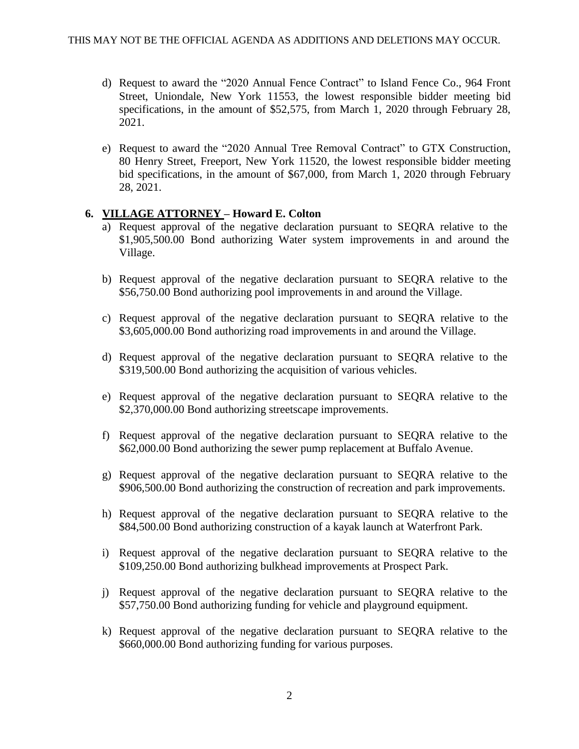- d) Request to award the "2020 Annual Fence Contract" to Island Fence Co., 964 Front Street, Uniondale, New York 11553, the lowest responsible bidder meeting bid specifications, in the amount of \$52,575, from March 1, 2020 through February 28, 2021.
- e) Request to award the "2020 Annual Tree Removal Contract" to GTX Construction, 80 Henry Street, Freeport, New York 11520, the lowest responsible bidder meeting bid specifications, in the amount of \$67,000, from March 1, 2020 through February 28, 2021.

#### **6. VILLAGE ATTORNEY – Howard E. Colton**

- a) Request approval of the negative declaration pursuant to SEQRA relative to the \$1,905,500.00 Bond authorizing Water system improvements in and around the Village.
- b) Request approval of the negative declaration pursuant to SEQRA relative to the \$56,750.00 Bond authorizing pool improvements in and around the Village.
- c) Request approval of the negative declaration pursuant to SEQRA relative to the \$3,605,000.00 Bond authorizing road improvements in and around the Village.
- d) Request approval of the negative declaration pursuant to SEQRA relative to the \$319,500.00 Bond authorizing the acquisition of various vehicles.
- e) Request approval of the negative declaration pursuant to SEQRA relative to the \$2,370,000.00 Bond authorizing streetscape improvements.
- f) Request approval of the negative declaration pursuant to SEQRA relative to the \$62,000.00 Bond authorizing the sewer pump replacement at Buffalo Avenue.
- g) Request approval of the negative declaration pursuant to SEQRA relative to the \$906,500.00 Bond authorizing the construction of recreation and park improvements.
- h) Request approval of the negative declaration pursuant to SEQRA relative to the \$84,500.00 Bond authorizing construction of a kayak launch at Waterfront Park.
- i) Request approval of the negative declaration pursuant to SEQRA relative to the \$109,250.00 Bond authorizing bulkhead improvements at Prospect Park.
- j) Request approval of the negative declaration pursuant to SEQRA relative to the \$57,750.00 Bond authorizing funding for vehicle and playground equipment.
- k) Request approval of the negative declaration pursuant to SEQRA relative to the \$660,000.00 Bond authorizing funding for various purposes.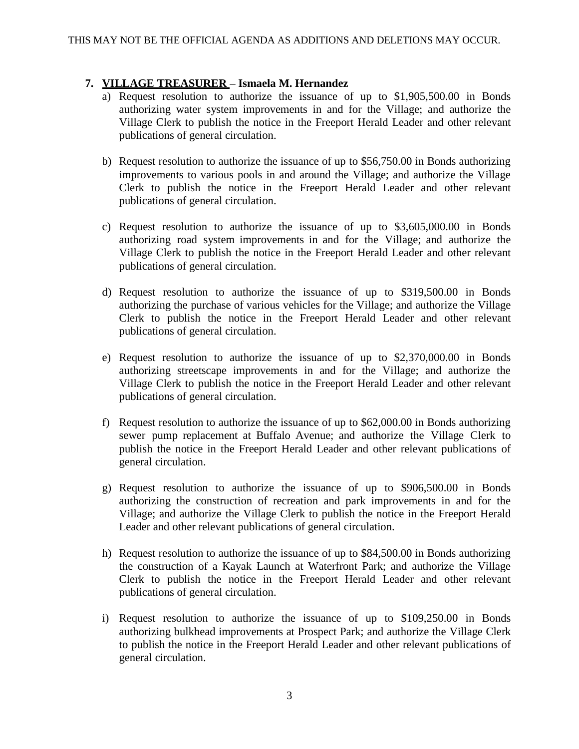#### **7. VILLAGE TREASURER – Ismaela M. Hernandez**

- a) Request resolution to authorize the issuance of up to \$1,905,500.00 in Bonds authorizing water system improvements in and for the Village; and authorize the Village Clerk to publish the notice in the Freeport Herald Leader and other relevant publications of general circulation.
- b) Request resolution to authorize the issuance of up to \$56,750.00 in Bonds authorizing improvements to various pools in and around the Village; and authorize the Village Clerk to publish the notice in the Freeport Herald Leader and other relevant publications of general circulation.
- c) Request resolution to authorize the issuance of up to \$3,605,000.00 in Bonds authorizing road system improvements in and for the Village; and authorize the Village Clerk to publish the notice in the Freeport Herald Leader and other relevant publications of general circulation.
- d) Request resolution to authorize the issuance of up to \$319,500.00 in Bonds authorizing the purchase of various vehicles for the Village; and authorize the Village Clerk to publish the notice in the Freeport Herald Leader and other relevant publications of general circulation.
- e) Request resolution to authorize the issuance of up to \$2,370,000.00 in Bonds authorizing streetscape improvements in and for the Village; and authorize the Village Clerk to publish the notice in the Freeport Herald Leader and other relevant publications of general circulation.
- f) Request resolution to authorize the issuance of up to \$62,000.00 in Bonds authorizing sewer pump replacement at Buffalo Avenue; and authorize the Village Clerk to publish the notice in the Freeport Herald Leader and other relevant publications of general circulation.
- g) Request resolution to authorize the issuance of up to \$906,500.00 in Bonds authorizing the construction of recreation and park improvements in and for the Village; and authorize the Village Clerk to publish the notice in the Freeport Herald Leader and other relevant publications of general circulation.
- h) Request resolution to authorize the issuance of up to \$84,500.00 in Bonds authorizing the construction of a Kayak Launch at Waterfront Park; and authorize the Village Clerk to publish the notice in the Freeport Herald Leader and other relevant publications of general circulation.
- i) Request resolution to authorize the issuance of up to \$109,250.00 in Bonds authorizing bulkhead improvements at Prospect Park; and authorize the Village Clerk to publish the notice in the Freeport Herald Leader and other relevant publications of general circulation.